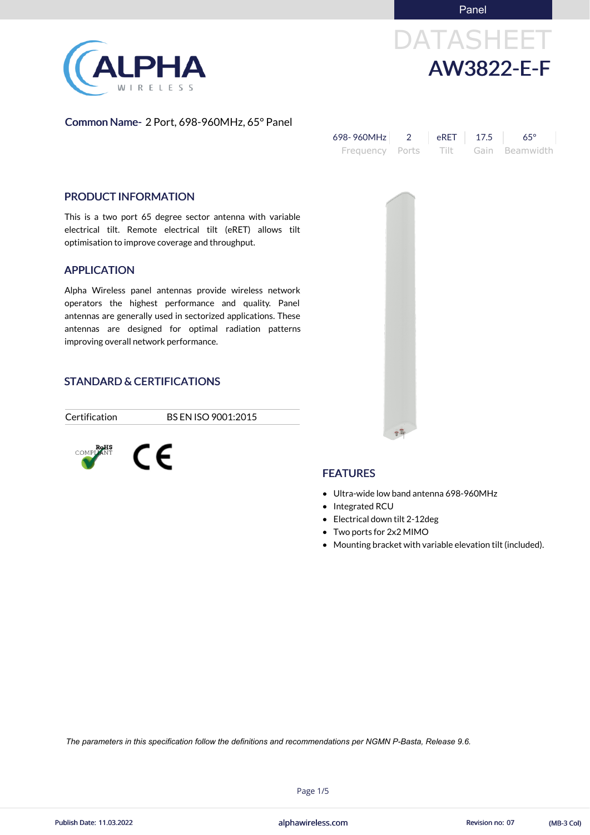**Panel** 

# DATASHEET AW3822-E-F

Common Name- 2 Port, 698-960MHz, 65° Panel

| 698-960MHz | $\overline{R}$ eRET $\overline{R}$ 17.5 | $65^\circ$                          |
|------------|-----------------------------------------|-------------------------------------|
|            |                                         | Frequency Ports Tilt Gain Beamwidth |

### PRODUCT INFORMATION

This is a two port 65 degree sector antenna with variable electrical tilt. Remote electrical tilt (eRET) allows tilt optimisation to improve coverage and throughput.

#### APPLICATION

Alpha Wireless panel antennas provide wireless network operators the highest performance and quality. Panel antennas are generally used in sectorized applications. These antennas are designed for optimal radiation patterns improving overall network performance.

# STANDARD & CERTIFICATIONS

Certification BS EN ISO 9001:2015





# **FEATURES**

- Ultra-wide low band antenna 698-960MHz
- Integrated RCU
- Electrical down tilt 2-12deg
- Two ports for 2x2 MIMO
- Mounting bracket with variable elevation tilt (included).



Page 1/5



*The parameters in this specification follow the definitions and recommendations per NGMN P-Basta, Release 9.6.*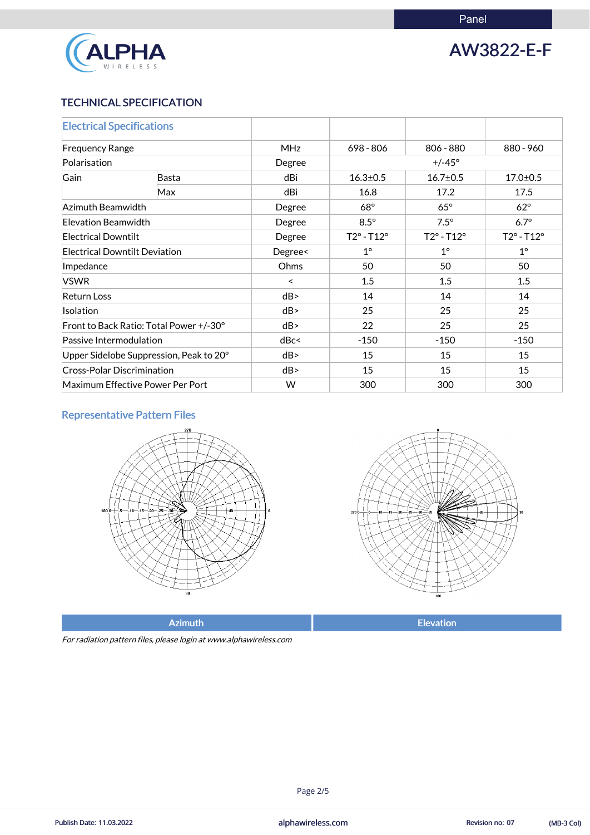

AW3822-E-F

# TECHNICAL SPECIFICATION

| <b>Electrical Specifications</b>        |              |            |                            |                            |                            |
|-----------------------------------------|--------------|------------|----------------------------|----------------------------|----------------------------|
| <b>Frequency Range</b>                  |              | <b>MHz</b> | 698 - 806                  | 806 - 880                  | 880 - 960                  |
| Polarisation                            |              | Degree     |                            | $+/-45^{\circ}$            |                            |
| Gain                                    | <b>Basta</b> | dBi        | $16.3 \pm 0.5$             | $16.7 \pm 0.5$             | $17.0 \pm 0.5$             |
|                                         | Max          | dBi        | 16.8                       | 17.2                       | 17.5                       |
| Azimuth Beamwidth                       |              | Degree     | $68^\circ$                 | $65^\circ$                 | $62^\circ$                 |
| Elevation Beamwidth                     |              | Degree     | $8.5^\circ$                | $7.5^\circ$                | $6.7^\circ$                |
| <b>Electrical Downtilt</b>              |              | Degree     | $T2^{\circ} - T12^{\circ}$ | $T2^{\circ} - T12^{\circ}$ | $T2^{\circ} - T12^{\circ}$ |
| <b>Electrical Downtilt Deviation</b>    |              | Degree<    | $1^{\circ}$                | $1^{\circ}$                | $1^\circ$                  |
| Impedance                               |              | Ohms       | 50                         | 50                         | 50                         |
| <b>VSWR</b>                             |              | $\prec$    | 1.5                        | 1.5                        | 1.5                        |
| <b>Return Loss</b>                      |              | dB         | 14                         | 14                         | 14                         |
| <b>Isolation</b>                        |              | dB         | 25                         | 25                         | 25                         |
| Front to Back Ratio: Total Power +/-30° |              | dB         | 22                         | 25                         | 25                         |
| Passive Intermodulation                 |              | dBc<       | $-150$                     | $-150$                     | $-150$                     |
| Upper Sidelobe Suppression, Peak to 20° |              | dB         | 15                         | 15                         | 15                         |
| <b>Cross-Polar Discrimination</b>       |              | dB         | 15                         | 15                         | 15                         |
| Maximum Effective Power Per Port        |              | W          | 300                        | 300                        | 300                        |

# Representative Pattern Files





Azimuth **Elevation** 

For radiation pattern files, please login at www.alphawireless.com

Page 2/5

alphawireless.com Publish Date: 11.03.2022 Revision no: 07 (MB-3 Col)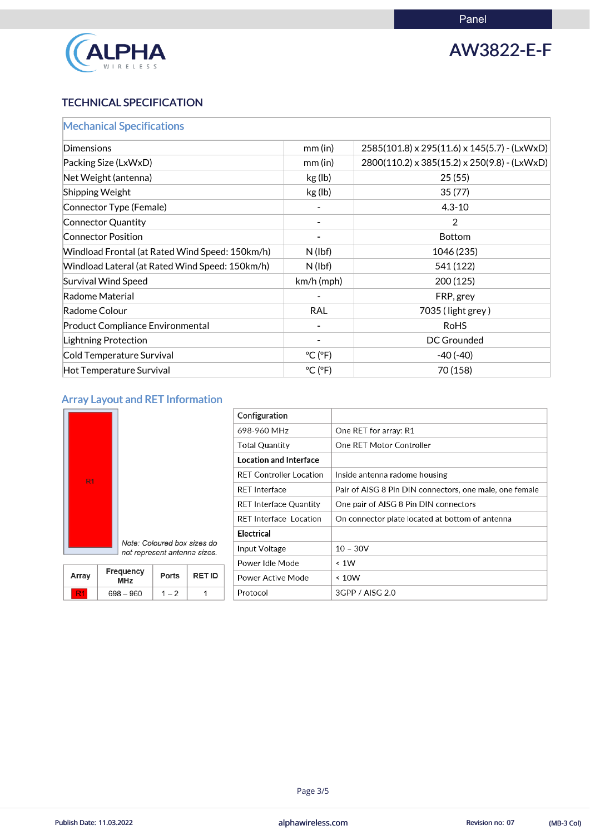

AW3822-E-F

# TECHNICAL SPECIFICATION

| <b>Mechanical Specifications</b>                |                              |                                              |
|-------------------------------------------------|------------------------------|----------------------------------------------|
| Dimensions                                      | $mm$ (in)                    | 2585(101.8) x 295(11.6) x 145(5.7) - (LxWxD) |
| Packing Size (LxWxD)                            | $mm$ (in)                    | 2800(110.2) x 385(15.2) x 250(9.8) - (LxWxD) |
| Net Weight (antenna)                            | kg (lb)                      | 25(55)                                       |
| <b>Shipping Weight</b>                          | kg (lb)                      | 35(77)                                       |
| Connector Type (Female)                         |                              | $4.3 - 10$                                   |
| Connector Quantity                              |                              | $\overline{2}$                               |
| <b>Connector Position</b>                       |                              | <b>Bottom</b>                                |
| Windload Frontal (at Rated Wind Speed: 150km/h) | $N$ (lbf)                    | 1046 (235)                                   |
| Windload Lateral (at Rated Wind Speed: 150km/h) | $N$ (lbf)                    | 541 (122)                                    |
| <b>Survival Wind Speed</b>                      | $km/h$ (mph)                 | 200(125)                                     |
| Radome Material                                 |                              | FRP, grey                                    |
| Radome Colour                                   | <b>RAL</b>                   | 7035 (light grey)                            |
| <b>Product Compliance Environmental</b>         |                              | <b>RoHS</b>                                  |
| <b>Lightning Protection</b>                     |                              | <b>DC Grounded</b>                           |
| Cold Temperature Survival                       | $^{\circ}$ C ( $^{\circ}$ F) | $-40(-40)$                                   |
| Hot Temperature Survival                        | $^{\circ}$ C ( $^{\circ}$ F) | 70 (158)                                     |

# Array Layout and RET Information



| Configuration                  |                                                         |
|--------------------------------|---------------------------------------------------------|
| 698-960 MHz                    | One RET for array: R1                                   |
| <b>Total Quantity</b>          | One RET Motor Controller                                |
| <b>Location and Interface</b>  |                                                         |
| <b>RET Controller Location</b> | Inside antenna radome housing                           |
| <b>RET</b> Interface           | Pair of AISG 8 Pin DIN connectors, one male, one female |
| <b>RET Interface Quantity</b>  | One pair of AISG 8 Pin DIN connectors                   |
| <b>RET</b> Interface Location  | On connector plate located at bottom of antenna         |
| Electrical                     |                                                         |
| Input Voltage                  | $10 - 30V$                                              |
| Power Idle Mode                | $\leq 1W$                                               |
| Power Active Mode              | $\leq 10W$                                              |
| Protocol                       | 3GPP / AISG 2.0                                         |

Note: Coloured box sizes do not represent antenna sizes.

| Array | <b>Frequency</b><br><b>MHz</b> | <b>Ports</b> | <b>RETID</b> |
|-------|--------------------------------|--------------|--------------|
|       | $698 - 960$                    | $-2$         |              |

#### Page 3/5

alphawireless.com Publish Date: 11.03.2022 Revision no: 07 (MB-3 Col)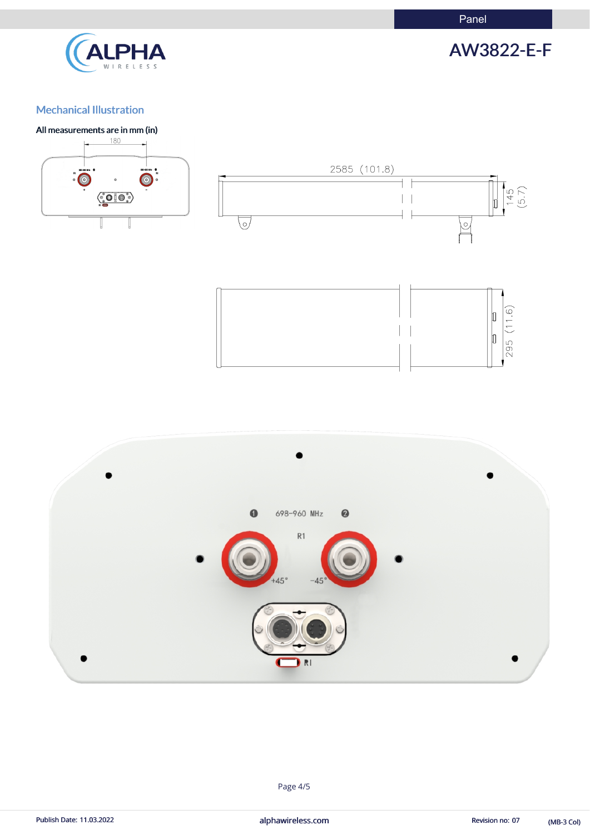Panel



AW3822-E-F

# Mechanical Illustration

#### All measurements are in mm (in)





Page 4/5